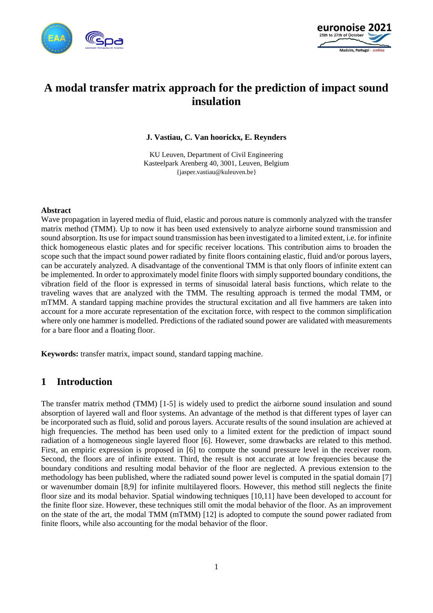



# **A modal transfer matrix approach for the prediction of impact sound insulation**

**J. Vastiau, C. Van hoorickx, E. Reynders**

KU Leuven, Department of Civil Engineering Kasteelpark Arenberg 40, 3001, Leuven, Belgium {jasper.vastiau@kuleuven.be}

#### **Abstract**

Wave propagation in layered media of fluid, elastic and porous nature is commonly analyzed with the transfer matrix method (TMM). Up to now it has been used extensively to analyze airborne sound transmission and sound absorption. Its use for impact sound transmission has been investigated to a limited extent, i.e. for infinite thick homogeneous elastic plates and for specific receiver locations. This contribution aims to broaden the scope such that the impact sound power radiated by finite floors containing elastic, fluid and/or porous layers, can be accurately analyzed. A disadvantage of the conventional TMM is that only floors of infinite extent can be implemented. In order to approximately model finite floors with simply supported boundary conditions, the vibration field of the floor is expressed in terms of sinusoidal lateral basis functions, which relate to the traveling waves that are analyzed with the TMM. The resulting approach is termed the modal TMM, or mTMM. A standard tapping machine provides the structural excitation and all five hammers are taken into account for a more accurate representation of the excitation force, with respect to the common simplification where only one hammer is modelled. Predictions of the radiated sound power are validated with measurements for a bare floor and a floating floor.

**Keywords:** transfer matrix, impact sound, standard tapping machine.

### **1 Introduction**

The transfer matrix method (TMM) [1-5] is widely used to predict the airborne sound insulation and sound absorption of layered wall and floor systems. An advantage of the method is that different types of layer can be incorporated such as fluid, solid and porous layers. Accurate results of the sound insulation are achieved at high frequencies. The method has been used only to a limited extent for the prediction of impact sound radiation of a homogeneous single layered floor [6]. However, some drawbacks are related to this method. First, an empiric expression is proposed in [6] to compute the sound pressure level in the receiver room. Second, the floors are of infinite extent. Third, the result is not accurate at low frequencies because the boundary conditions and resulting modal behavior of the floor are neglected. A previous extension to the methodology has been published, where the radiated sound power level is computed in the spatial domain [7] or wavenumber domain [8,9] for infinite multilayered floors. However, this method still neglects the finite floor size and its modal behavior. Spatial windowing techniques [10,11] have been developed to account for the finite floor size. However, these techniques still omit the modal behavior of the floor. As an improvement on the state of the art, the modal TMM (mTMM) [12] is adopted to compute the sound power radiated from finite floors, while also accounting for the modal behavior of the floor.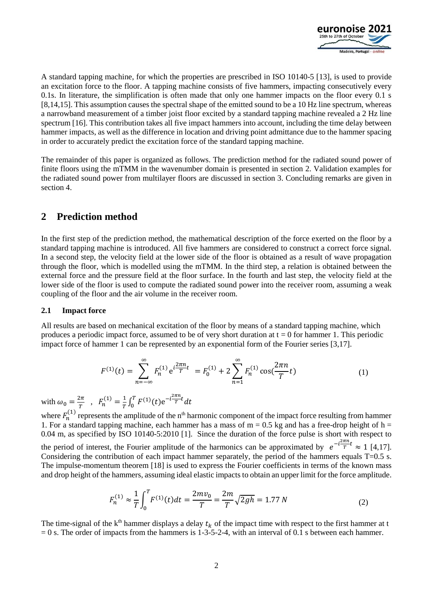

A standard tapping machine, for which the properties are prescribed in ISO 10140-5 [13], is used to provide an excitation force to the floor. A tapping machine consists of five hammers, impacting consecutively every 0.1s. In literature, the simplification is often made that only one hammer impacts on the floor every 0.1 s [8,14,15]. This assumption causes the spectral shape of the emitted sound to be a 10 Hz line spectrum, whereas a narrowband measurement of a timber joist floor excited by a standard tapping machine revealed a 2 Hz line spectrum [16]. This contribution takes all five impact hammers into account, including the time delay between hammer impacts, as well as the difference in location and driving point admittance due to the hammer spacing in order to accurately predict the excitation force of the standard tapping machine.

The remainder of this paper is organized as follows. The prediction method for the radiated sound power of finite floors using the mTMM in the wavenumber domain is presented in section 2. Validation examples for the radiated sound power from multilayer floors are discussed in section 3. Concluding remarks are given in section 4.

## **2 Prediction method**

In the first step of the prediction method, the mathematical description of the force exerted on the floor by a standard tapping machine is introduced. All five hammers are considered to construct a correct force signal. In a second step, the velocity field at the lower side of the floor is obtained as a result of wave propagation through the floor, which is modelled using the mTMM. In the third step, a relation is obtained between the external force and the pressure field at the floor surface. In the fourth and last step, the velocity field at the lower side of the floor is used to compute the radiated sound power into the receiver room, assuming a weak coupling of the floor and the air volume in the receiver room.

### **2.1 Impact force**

All results are based on mechanical excitation of the floor by means of a standard tapping machine, which produces a periodic impact force, assumed to be of very short duration at  $t = 0$  for hammer 1. This periodic impact force of hammer 1 can be represented by an exponential form of the Fourier series [3,17].

$$
F^{(1)}(t) = \sum_{n=-\infty}^{\infty} F_n^{(1)} e^{i\frac{2\pi n}{T}t} = F_0^{(1)} + 2\sum_{n=1}^{\infty} F_n^{(1)} \cos(\frac{2\pi n}{T}t)
$$
 (1)

with  $\omega_0 = \frac{2\pi}{T}$  $\frac{2\pi}{T}$ ,  $F_n^{(1)} = \frac{1}{T}$  $\frac{1}{T} \int_0^T F^{(1)}(t) e^{-i\frac{2\pi n}{T}}$  $\int_0^T F^{(1)}(t) e^{-i\frac{2\pi n}{T}t} dt$ 

where  $F_n^{(1)}$  represents the amplitude of the n<sup>th</sup> harmonic component of the impact force resulting from hammer 1. For a standard tapping machine, each hammer has a mass of  $m = 0.5$  kg and has a free-drop height of  $h =$ 0.04 m, as specified by ISO 10140-5:2010 [1]. Since the duration of the force pulse is short with respect to the period of interest, the Fourier amplitude of the harmonics can be approximated by  $e^{-i\frac{2\pi n}{T}}$  $\frac{n}{T}$ t  $\approx$  1 [4,17]. Considering the contribution of each impact hammer separately, the period of the hammers equals T=0.5 s. The impulse-momentum theorem [18] is used to express the Fourier coefficients in terms of the known mass and drop height of the hammers, assuming ideal elastic impacts to obtain an upper limit for the force amplitude.

$$
F_n^{(1)} \approx \frac{1}{T} \int_0^T F^{(1)}(t) dt = \frac{2m v_0}{T} = \frac{2m}{T} \sqrt{2gh} = 1.77 N
$$
 (2)

The time-signal of the  $k<sup>th</sup>$  hammer displays a delay  $t_k$  of the impact time with respect to the first hammer at t  $= 0$  s. The order of impacts from the hammers is 1-3-5-2-4, with an interval of 0.1 s between each hammer.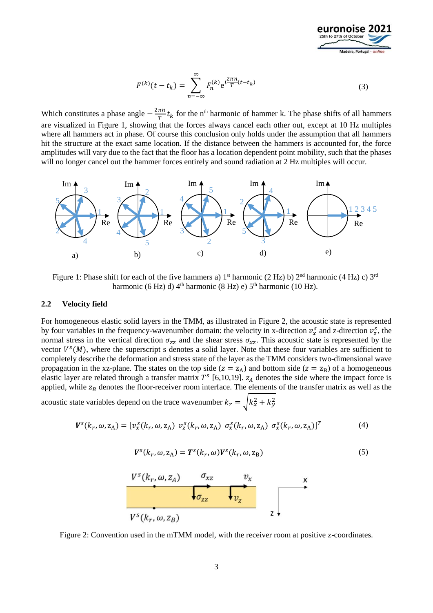

$$
F^{(k)}(t - t_k) = \sum_{n = -\infty}^{\infty} F_n^{(k)} e^{i\frac{2\pi n}{T}(t - t_k)}
$$
(3)

Which constitutes a phase angle  $-\frac{2\pi n}{r}$  $\frac{m}{T}$   $t_k$  for the n<sup>th</sup> harmonic of hammer k. The phase shifts of all hammers are visualized in [Figure 1,](#page-2-0) showing that the forces always cancel each other out, except at 10 Hz multiples where all hammers act in phase. Of course this conclusion only holds under the assumption that all hammers hit the structure at the exact same location. If the distance between the hammers is accounted for, the force amplitudes will vary due to the fact that the floor has a location dependent point mobility, such that the phases will no longer cancel out the hammer forces entirely and sound radiation at 2 Hz multiples will occur.



<span id="page-2-0"></span>Figure 1: Phase shift for each of the five hammers a) 1<sup>st</sup> harmonic (2 Hz) b) 2<sup>nd</sup> harmonic (4 Hz) c) 3<sup>rd</sup> harmonic (6 Hz) d)  $4<sup>th</sup>$  harmonic (8 Hz) e)  $5<sup>th</sup>$  harmonic (10 Hz).

#### **2.2 Velocity field**

For homogeneous elastic solid layers in the TMM, as illustrated in [Figure 2,](#page-2-1) the acoustic state is represented by four variables in the frequency-wavenumber domain: the velocity in x-direction  $v_x^s$  and z-direction  $v_z^s$ , the normal stress in the vertical direction  $\sigma_{zz}$  and the shear stress  $\sigma_{xz}$ . This acoustic state is represented by the vector  $V<sup>S</sup>(M)$ , where the superscript s denotes a solid layer. Note that these four variables are sufficient to completely describe the deformation and stress state of the layer as the TMM considers two-dimensional wave propagation in the xz-plane. The states on the top side ( $z = z_A$ ) and bottom side ( $z = z_B$ ) of a homogeneous elastic layer are related through a transfer matrix  $T^s$  [6,10,19].  $z_A$  denotes the side where the impact force is applied, while  $z_B$  denotes the floor-receiver room interface. The elements of the transfer matrix as well as the

acoustic state variables depend on the trace wavenumber  $k_r = \sqrt{k_x^2 + k_y^2}$ 

$$
\boldsymbol{V}^s(k_r, \omega, \mathbf{z}_A) = [\boldsymbol{v}_x^s(k_r, \omega, \mathbf{z}_A) \ \boldsymbol{v}_z^s(k_r, \omega, \mathbf{z}_A) \ \boldsymbol{\sigma}_x^s(k_r, \omega, \mathbf{z}_A) \ \boldsymbol{\sigma}_x^s(k_r, \omega, \mathbf{z}_A)]^T
$$
(4)

$$
V^{s}(k_r, \omega, z_A) = T^{s}(k_r, \omega)V^{s}(k_r, \omega, z_B)
$$
\n<sup>(5)</sup>



<span id="page-2-1"></span>Figure 2: Convention used in the mTMM model, with the receiver room at positive z-coordinates.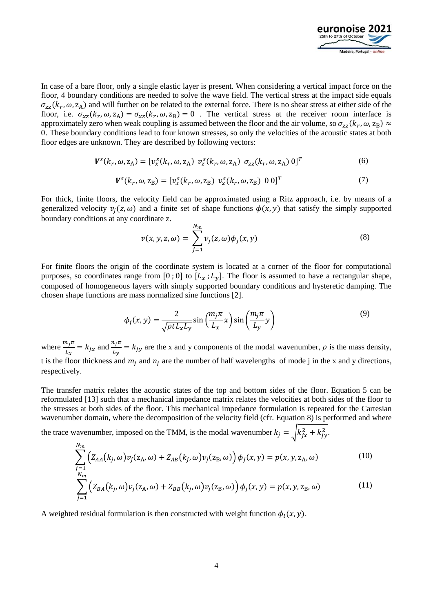

In case of a bare floor, only a single elastic layer is present. When considering a vertical impact force on the floor, 4 boundary conditions are needed to solve the wave field. The vertical stress at the impact side equals  $\sigma_{zz}(k_r, \omega, z_A)$  and will further on be related to the external force. There is no shear stress at either side of the floor, i.e.  $\sigma_{xz}(k_r, \omega, z_A) = \sigma_{xz}(k_r, \omega, z_B) = 0$ . The vertical stress at the receiver room interface is approximately zero when weak coupling is assumed between the floor and the air volume, so  $\sigma_{zz}(k_r, \omega, z_B) \approx$ 0. These boundary conditions lead to four known stresses, so only the velocities of the acoustic states at both floor edges are unknown. They are described by following vectors:

$$
\boldsymbol{V}^s(k_r, \omega, \mathbf{z}_A) = [\boldsymbol{v}_x^s(k_r, \omega, \mathbf{z}_A) \ \boldsymbol{v}_z^s(k_r, \omega, \mathbf{z}_A) \ \boldsymbol{\sigma}_{zz}(k_r, \omega, \mathbf{z}_A) \ \mathbf{0}]^T
$$
 (6)

$$
V^{s}(k_r, \omega, z_B) = [v_x^{s}(k_r, \omega, z_B) \ v_z^{s}(k_r, \omega, z_B) \ 0 \ 0]^T
$$
 (7)

For thick, finite floors, the velocity field can be approximated using a Ritz approach, i.e. by means of a generalized velocity  $v_i(z, \omega)$  and a finite set of shape functions  $\phi(x, y)$  that satisfy the simply supported boundary conditions at any coordinate z.

$$
v(x, y, z, \omega) = \sum_{j=1}^{N_m} v_j(z, \omega) \phi_j(x, y)
$$
\n(8)

For finite floors the origin of the coordinate system is located at a corner of the floor for computational purposes, so coordinates range from [0; 0] to  $[L_x : L_y]$ . The floor is assumed to have a rectangular shape, composed of homogeneous layers with simply supported boundary conditions and hysteretic damping. The chosen shape functions are mass normalized sine functions [2].

$$
\phi_j(x, y) = \frac{2}{\sqrt{\rho t L_x L_y}} \sin\left(\frac{m_j \pi}{L_x} x\right) \sin\left(\frac{m_j \pi}{L_y} y\right)
$$
\n(9)

where  $\frac{m_j \pi}{L_x} = k_{jx}$  and  $\frac{n_j \pi}{L_y} = k_{jy}$  are the x and y components of the modal wavenumber,  $\rho$  is the mass density, t is the floor thickness and  $m_i$  and  $n_i$  are the number of half wavelengths of mode j in the x and y directions, respectively.

The transfer matrix relates the acoustic states of the top and bottom sides of the floor. Equation 5 can be reformulated [13] such that a mechanical impedance matrix relates the velocities at both sides of the floor to the stresses at both sides of the floor. This mechanical impedance formulation is repeated for the Cartesian wavenumber domain, where the decomposition of the velocity field (cfr. Equation 8) is performed and where

the trace wavenumber, imposed on the TMM, is the modal wavenumber  $k_j = \sqrt{k_{jx}^2 + k_{jy}^2}$ .  $N_m$ 

$$
\sum_{\substack{j=1 \ N_m}}^{m} \left( Z_{AA}(k_j, \omega) v_j(z_A, \omega) + Z_{AB}(k_j, \omega) v_j(z_B, \omega) \right) \phi_j(x, y) = p(x, y, z_A, \omega) \tag{10}
$$

$$
\sum_{j=1}^{N_m} \left( Z_{BA}(k_j, \omega) v_j(z_A, \omega) + Z_{BB}(k_j, \omega) v_j(z_B, \omega) \right) \phi_j(x, y) = p(x, y, z_B, \omega)
$$
(11)

A weighted residual formulation is then constructed with weight function  $\phi_l(x, y)$ .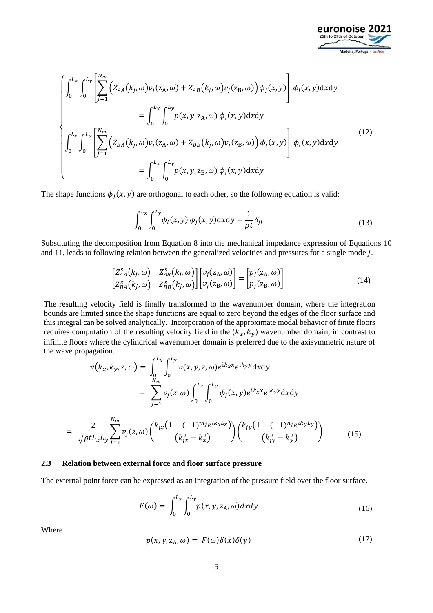

$$
\begin{cases}\n\int_{0}^{L_{x}} \int_{0}^{L_{y}} \left[ \sum_{j=1}^{N_{m}} \left( Z_{AA}(k_{j}, \omega) v_{j}(z_{A}, \omega) + Z_{AB}(k_{j}, \omega) v_{j}(z_{B}, \omega) \right) \phi_{j}(x, y) \right] \phi_{l}(x, y) dxdy \\
= \int_{0}^{L_{x}} \int_{0}^{L_{y}} \left[ \sum_{j=1}^{N_{m}} \left( Z_{BA}(k_{j}, \omega) v_{j}(z_{A}, \omega) + Z_{BB}(k_{j}, \omega) v_{j}(z_{B}, \omega) \right) \phi_{j}(x, y) \right] \phi_{l}(x, y) dxdy \\
= \int_{0}^{L_{x}} \int_{0}^{L_{y}} \left[ \sum_{j=1}^{N_{m}} \left( Z_{BA}(k_{j}, \omega) v_{j}(z_{A}, \omega) + Z_{BB}(k_{j}, \omega) v_{j}(z_{B}, \omega) \right) \phi_{j}(x, y) \right] \phi_{l}(x, y) dxdy\n\end{cases}
$$
\n(12)

The shape functions  $\phi_j(x, y)$  are orthogonal to each other, so the following equation is valid:

$$
\int_0^{L_x} \int_0^{L_y} \phi_l(x, y) \phi_j(x, y) \, dx \, dy = \frac{1}{\rho t} \delta_{jl} \tag{13}
$$

Substituting the decomposition from Equation 8 into the mechanical impedance expression of Equations 10 and 11, leads to following relation between the generalized velocities and pressures for a single mode j.

$$
\begin{bmatrix} Z_{AA}^s(k_j, \omega) & Z_{AB}^s(k_j, \omega) \\ Z_{BA}^s(k_j, \omega) & Z_{BB}^s(k_j, \omega) \end{bmatrix} \begin{bmatrix} v_j(\mathbf{z}_A, \omega) \\ v_j(\mathbf{z}_B, \omega) \end{bmatrix} = \begin{bmatrix} p_j(\mathbf{z}_A, \omega) \\ p_j(\mathbf{z}_B, \omega) \end{bmatrix}
$$
(14)

The resulting velocity field is finally transformed to the wavenumber domain, where the integration bounds are limited since the shape functions are equal to zero beyond the edges of the floor surface and this integral can be solved analytically. Incorporation of the approximate modal behavior of finite floors requires computation of the resulting velocity field in the  $(k_x, k_y)$  wavenumber domain, in contrast to infinite floors where the cylindrical wavenumber domain is preferred due to the axisymmetric nature of the wave propagation.

$$
v(k_x, k_y, z, \omega) = \int_0^{L_x} \int_0^{L_y} v(x, y, z, \omega) e^{ik_x x} e^{ik_y y} dx dy
$$
  
\n
$$
= \sum_{j=1}^{N_m} v_j(z, \omega) \int_0^{L_x} \int_0^{L_y} \phi_j(x, y) e^{ik_x x} e^{ik_y y} dx dy
$$
  
\n
$$
\frac{2}{\sqrt{\rho t L_x L_y}} \sum_{j=1}^{N_m} v_j(z, \omega) \left( \frac{k_{jx} (1 - (-1)^{m_j} e^{ik_x L_x})}{(k_{jx}^2 - k_x^2)} \right) \left( \frac{k_{jy} (1 - (-1)^{n_j} e^{ik_y L_y})}{(k_{jy}^2 - k_y^2)} \right)
$$
(15)

#### **2.3 Relation between external force and floor surface pressure**

The external point force can be expressed as an integration of the pressure field over the floor surface.

$$
F(\omega) = \int_0^{L_x} \int_0^{L_y} p(x, y, z_A, \omega) dx dy
$$
 (16)

Where

=

$$
p(x, y, z_A, \omega) = F(\omega)\delta(x)\delta(y)
$$
\n(17)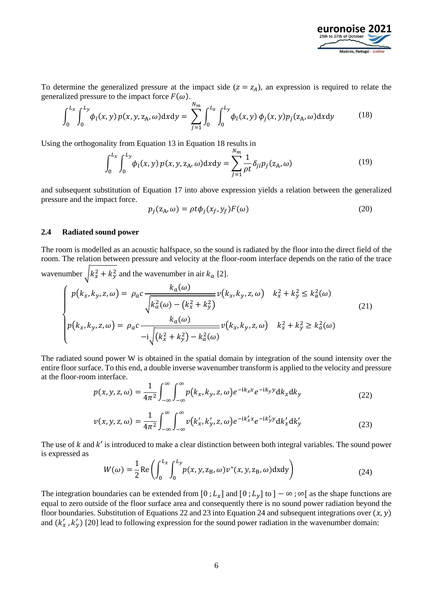

To determine the generalized pressure at the impact side  $(z = z<sub>A</sub>)$ , an expression is required to relate the generalized pressure to the impact force  $F(\omega)$ .

$$
\int_0^{L_x} \int_0^{L_y} \phi_l(x, y) p(x, y, z_A, \omega) dx dy = \sum_{j=1}^{N_m} \int_0^{L_x} \int_0^{L_y} \phi_l(x, y) \phi_j(x, y) p_j(z_A, \omega) dx dy \qquad (18)
$$

Using the orthogonality from Equation 13 in Equation 18 results in

$$
\int_0^{L_x} \int_0^{L_y} \phi_l(x, y) p(x, y, z_A, \omega) dx dy = \sum_{j=1}^{N_m} \frac{1}{\rho t} \delta_{jl} p_j(z_A, \omega)
$$
(19)

and subsequent substitution of Equation 17 into above expression yields a relation between the generalized pressure and the impact force.

$$
p_j(z_A, \omega) = \rho t \phi_j(x_f, y_f) F(\omega)
$$
\n(20)

#### **2.4 Radiated sound power**

The room is modelled as an acoustic halfspace, so the sound is radiated by the floor into the direct field of the room. The relation between pressure and velocity at the floor-room interface depends on the ratio of the trace

wavenumber 
$$
\sqrt{k_x^2 + k_y^2}
$$
 and the wavenumber in air  $k_a$  [2].  
\n
$$
\begin{cases}\n p(k_x, k_y, z, \omega) = \rho_a c \frac{k_a(\omega)}{\sqrt{k_a^2(\omega) - (k_x^2 + k_y^2)}} \nu(k_x, k_y, z, \omega) & k_x^2 + k_y^2 \le k_a^2(\omega) \\
 p(k_x, k_y, z, \omega) = \rho_a c \frac{k_a(\omega)}{-i\sqrt{(k_x^2 + k_y^2) - k_a^2(\omega)}} \nu(k_x, k_y, z, \omega) & k_x^2 + k_y^2 \ge k_a^2(\omega)\n\end{cases}
$$
\n(21)

The radiated sound power W is obtained in the spatial domain by integration of the sound intensity over the entire floor surface. To this end, a double inverse wavenumber transform is applied to the velocity and pressure at the floor-room interface.

$$
p(x, y, z, \omega) = \frac{1}{4\pi^2} \int_{-\infty}^{\infty} \int_{-\infty}^{\infty} p(k_x, k_y, z, \omega) e^{-ik_x x} e^{-ik_y y} dk_x dk_y
$$
 (22)

$$
v(x, y, z, \omega) = \frac{1}{4\pi^2} \int_{-\infty}^{\infty} \int_{-\infty}^{\infty} v(k'_x, k'_y, z, \omega) e^{-ik'_x x} e^{-ik'_y y} dk'_x dk'_y
$$
 (23)

The use of  $k$  and  $k'$  is introduced to make a clear distinction between both integral variables. The sound power is expressed as

$$
W(\omega) = \frac{1}{2} \text{Re} \left( \int_0^{L_x} \int_0^{L_y} p(x, y, z_B, \omega) v^*(x, y, z_B, \omega) \, \mathrm{d}x \, \mathrm{d}y \right) \tag{24}
$$

The integration boundaries can be extended from [0;  $L_x$ ] and [0;  $L_y$ ] to ] –  $\infty$ ;  $\infty$ [ as the shape functions are equal to zero outside of the floor surface area and consequently there is no sound power radiation beyond the floor boundaries. Substitution of Equations 22 and 23 into Equation 24 and subsequent integrations over  $(x, y)$ and  $(k'_x, k'_y)$  [20] lead to following expression for the sound power radiation in the wavenumber domain: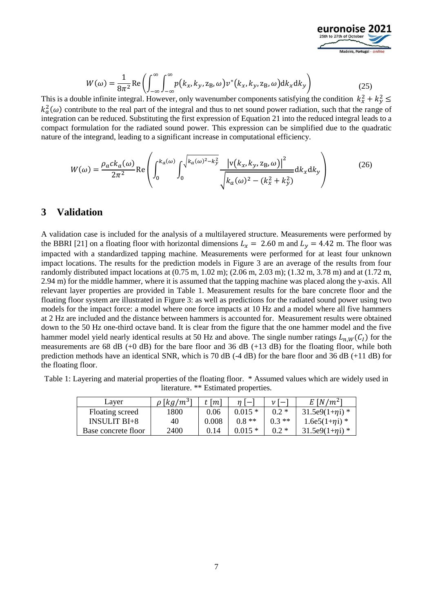

$$
W(\omega) = \frac{1}{8\pi^2} \text{Re}\left(\int_{-\infty}^{\infty} \int_{-\infty}^{\infty} p(k_x, k_y, z_B, \omega) v^*(k_x, k_y, z_B, \omega) \mathrm{d}k_x \mathrm{d}k_y\right) \tag{25}
$$

This is a double infinite integral. However, only wavenumber components satisfying the condition  $k_x^2 + k_y^2 \leq$  $k_a^2(\omega)$  contribute to the real part of the integral and thus to net sound power radiation, such that the range of integration can be reduced. Substituting the first expression of Equation 21 into the reduced integral leads to a compact formulation for the radiated sound power. This expression can be simplified due to the quadratic nature of the integrand, leading to a significant increase in computational efficiency.

$$
W(\omega) = \frac{\rho_a c k_a(\omega)}{2\pi^2} \text{Re}\left( \int_0^{k_a(\omega)} \int_0^{\sqrt{k_a(\omega)^2 - k_y^2}} \frac{\left| v(k_x, k_y, z_B, \omega) \right|^2}{\sqrt{k_a(\omega)^2 - (k_x^2 + k_y^2)}} dk_x dk_y \right)
$$
(26)

### **3 Validation**

A validation case is included for the analysis of a multilayered structure. Measurements were performed by the BBRI [21] on a floating floor with horizontal dimensions  $L_x = 2.60$  m and  $L_y = 4.42$  m. The floor was impacted with a standardized tapping machine. Measurements were performed for at least four unknown impact locations. The results for the prediction models in Figure 3 are an average of the results from four randomly distributed impact locations at (0.75 m, 1.02 m); (2.06 m, 2.03 m); (1.32 m, 3.78 m) and at (1.72 m, 2.94 m) for the middle hammer, where it is assumed that the tapping machine was placed along the y-axis. All relevant layer properties are provided in [Table 1.](#page-6-0) Measurement results for the bare concrete floor and the floating floor system are illustrated in [Figure 3:](#page-7-0) as well as predictions for the radiated sound power using two models for the impact force: a model where one force impacts at 10 Hz and a model where all five hammers at 2 Hz are included and the distance between hammers is accounted for. Measurement results were obtained down to the 50 Hz one-third octave band. It is clear from the figure that the one hammer model and the five hammer model yield nearly identical results at 50 Hz and above. The single number ratings  $L_{nW}(C_I)$  for the measurements are 68 dB (+0 dB) for the bare floor and 36 dB (+13 dB) for the floating floor, while both prediction methods have an identical SNR, which is 70 dB (-4 dB) for the bare floor and 36 dB (+11 dB) for the floating floor.

<span id="page-6-0"></span>

| Table 1: Layering and material properties of the floating floor. * Assumed values which are widely used in |  |
|------------------------------------------------------------------------------------------------------------|--|
| literature. ** Estimated properties.                                                                       |  |

| Laver               | $\rho$ [kg/m <sup>3</sup> <sup>2</sup> | $\lceil m \rceil$ | n <sub>l</sub> | $\boldsymbol{\nu}$ | $E[N/m^2]$             |
|---------------------|----------------------------------------|-------------------|----------------|--------------------|------------------------|
| Floating screed     | 1800                                   | 0.06              |                |                    | $31.5e9(1+\eta i)*$    |
| <b>INSULIT BI+8</b> | 40                                     | 0.008             | 08**           | $0.3**$            | $1.6e^{5(1+\eta i)}$ * |
| Base concrete floor | 2400                                   |                   |                |                    | $31.5e9(1+\eta i)*$    |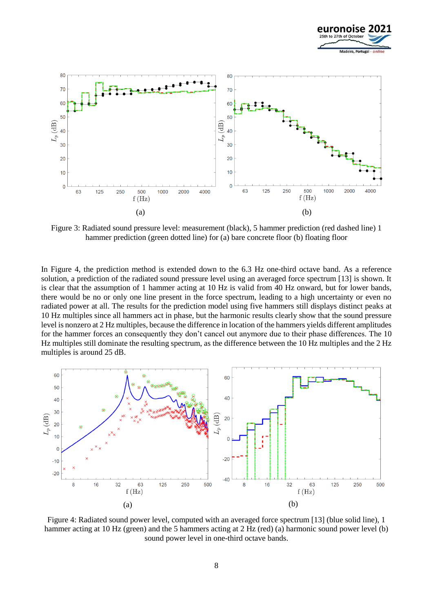



<span id="page-7-0"></span>Figure 3: Radiated sound pressure level: measurement (black), 5 hammer prediction (red dashed line) 1 hammer prediction (green dotted line) for (a) bare concrete floor (b) floating floor

In [Figure 4,](#page-7-1) the prediction method is extended down to the 6.3 Hz one-third octave band. As a reference solution, a prediction of the radiated sound pressure level using an averaged force spectrum [13] is shown. It is clear that the assumption of 1 hammer acting at 10 Hz is valid from 40 Hz onward, but for lower bands, there would be no or only one line present in the force spectrum, leading to a high uncertainty or even no radiated power at all. The results for the prediction model using five hammers still displays distinct peaks at 10 Hz multiples since all hammers act in phase, but the harmonic results clearly show that the sound pressure level is nonzero at 2 Hz multiples, because the difference in location of the hammers yields different amplitudes for the hammer forces an consequently they don't cancel out anymore due to their phase differences. The 10 Hz multiples still dominate the resulting spectrum, as the difference between the 10 Hz multiples and the 2 Hz multiples is around 25 dB.



<span id="page-7-1"></span>Figure 4: Radiated sound power level, computed with an averaged force spectrum [13] (blue solid line), 1 hammer acting at 10 Hz (green) and the 5 hammers acting at 2 Hz (red) (a) harmonic sound power level (b) sound power level in one-third octave bands.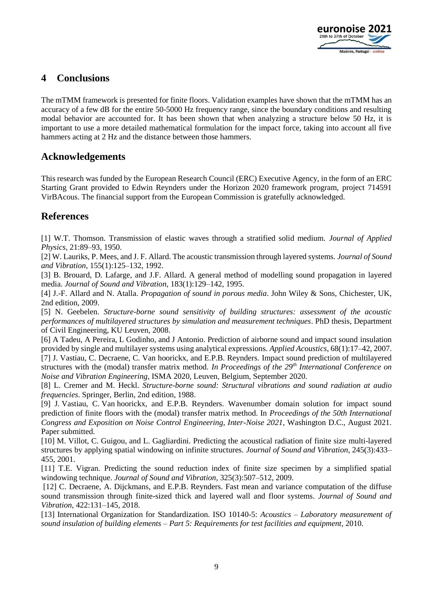

## **4 Conclusions**

The mTMM framework is presented for finite floors. Validation examples have shown that the mTMM has an accuracy of a few dB for the entire 50-5000 Hz frequency range, since the boundary conditions and resulting modal behavior are accounted for. It has been shown that when analyzing a structure below 50 Hz, it is important to use a more detailed mathematical formulation for the impact force, taking into account all five hammers acting at 2 Hz and the distance between those hammers.

### **Acknowledgements**

This research was funded by the European Research Council (ERC) Executive Agency, in the form of an ERC Starting Grant provided to Edwin Reynders under the Horizon 2020 framework program, project 714591 VirBAcous. The financial support from the European Commission is gratefully acknowledged.

## **References**

[1] W.T. Thomson. Transmission of elastic waves through a stratified solid medium. *Journal of Applied Physics*, 21:89–93, 1950.

[2] W. Lauriks, P. Mees, and J. F. Allard. The acoustic transmission through layered systems. *Journal of Sound and Vibration*, 155(1):125–132, 1992.

[3] B. Brouard, D. Lafarge, and J.F. Allard. A general method of modelling sound propagation in layered media. *Journal of Sound and Vibration*, 183(1):129–142, 1995.

[4] J.-F. Allard and N. Atalla. *Propagation of sound in porous media*. John Wiley & Sons, Chichester, UK, 2nd edition, 2009.

[5] N. Geebelen. *Structure-borne sound sensitivity of building structures: assessment of the acoustic performances of multilayered structures by simulation and measurement techniques*. PhD thesis, Department of Civil Engineering, KU Leuven, 2008.

[6] A Tadeu, A Pereira, L Godinho, and J Antonio. Prediction of airborne sound and impact sound insulation provided by single and multilayer systems using analytical expressions. *Applied Acoustics*, 68(1):17–42, 2007. [7] J. Vastiau, C. Decraene, C. Van hoorickx, and E.P.B. Reynders. Impact sound prediction of multilayered structures with the (modal) transfer matrix method. *In Proceedings of the 29th International Conference on Noise and Vibration Engineering*, ISMA 2020, Leuven, Belgium, September 2020.

[8] L. Cremer and M. Heckl. *Structure-borne sound: Structural vibrations and sound radiation at audio frequencies*. Springer, Berlin, 2nd edition, 1988.

[9] J. Vastiau, C. Van hoorickx, and E.P.B. Reynders. Wavenumber domain solution for impact sound prediction of finite floors with the (modal) transfer matrix method. In *Proceedings of the 50th International Congress and Exposition on Noise Control Engineering, Inter-Noise 2021*, Washington D.C., August 2021. Paper submitted.

[10] M. Villot, C. Guigou, and L. Gagliardini. Predicting the acoustical radiation of finite size multi-layered structures by applying spatial windowing on infinite structures. *Journal of Sound and Vibration*, 245(3):433– 455, 2001.

[11] T.E. Vigran. Predicting the sound reduction index of finite size specimen by a simplified spatial windowing technique. *Journal of Sound and Vibration*, 325(3):507–512, 2009.

[12] C. Decraene, A. Dijckmans, and E.P.B. Reynders. Fast mean and variance computation of the diffuse sound transmission through finite-sized thick and layered wall and floor systems. *Journal of Sound and Vibration*, 422:131–145, 2018.

[13] International Organization for Standardization. ISO 10140-5: *Acoustics – Laboratory measurement of sound insulation of building elements – Part 5: Requirements for test facilities and equipment*, 2010.